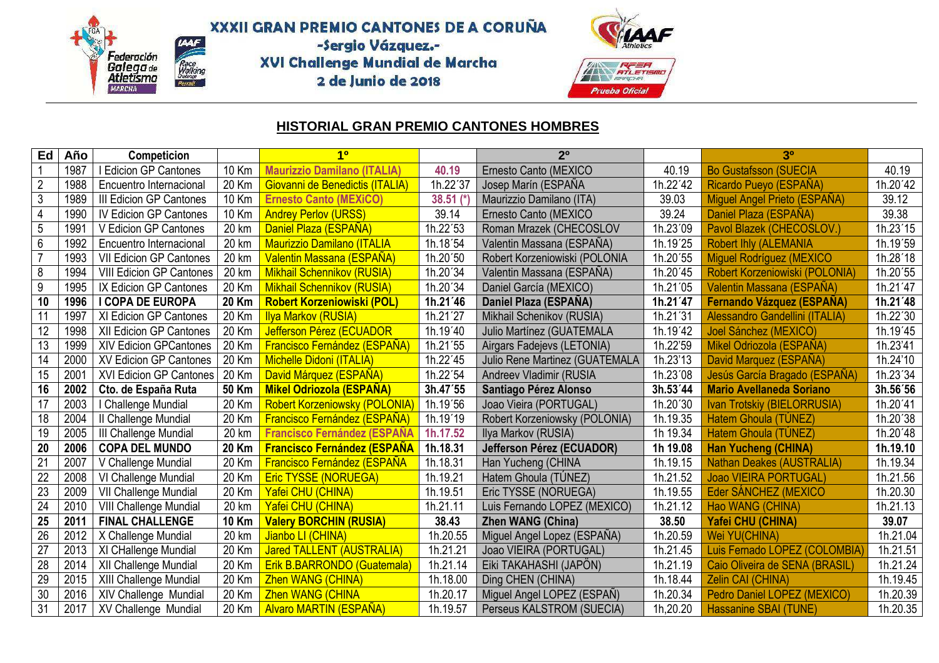

XXXII GRAN PREMIO CANTONES DE A CORUÑA -Sergio Vázquez.-XVI Challenge Mundial de Marcha 2 de Junio de 2018



## **HISTORIAL GRAN PREMIO CANTONES HOMBRES**

| Ed              | Año  | Competicion                     |              | 10                                  |                      | $\overline{2^0}$                 |                      | 3 <sup>0</sup>                        |                      |
|-----------------|------|---------------------------------|--------------|-------------------------------------|----------------------|----------------------------------|----------------------|---------------------------------------|----------------------|
|                 | 1987 | <b>Edicion GP Cantones</b>      | 10 Km        | <b>Maurizzio Damilano (ITALIA)</b>  | 40.19                | Ernesto Canto (MEXICO            | 40.19                | <b>Bo Gustafsson (SUECIA</b>          | 40.19                |
| $\overline{2}$  | 1988 | Encuentro Internacional         | 20 Km        | Giovanni de Benedictis (ITALIA)     | 1h.22'37             | Josep Marín (ESPAÑA              | 1h.22'42             | Ricardo Pueyo (ESPAÑA)                | 1h.20'42             |
| 3               | 1989 | <b>III Edicion GP Cantones</b>  | <b>10 Km</b> | <b>Ernesto Canto (MEXiCO)</b>       | 38.51 (*             | Maurizzio Damilano (ITA)         | 39.03                | Miguel Angel Prieto (ESPAÑA)          | 39.12                |
| 4               | 1990 | <b>IV Edicion GP Cantones</b>   | <b>10 Km</b> | <b>Andrey Perlov (URSS)</b>         | 39.14                | Ernesto Canto (MEXICO            | 39.24                | Daniel Plaza (ESPAÑA)                 | 39.38                |
| 5               | 1991 | V Edicion GP Cantones           | 20 km        | Daniel Plaza (ESPAÑA)               | 1h.22'53             | Roman Mrazek (CHECOSLOV          | 1h.23'09             | Pavol Blazek (CHECOSLOV.)             | 1h.23'15             |
| 6               | 1992 | Encuentro Internacional         | 20 km        | <b>Maurizzio Damilano (ITALIA</b>   | 1h.18'54             | Valentin Massana (ESPAÑA)        | 1h.19'25             | <b>Robert Ihly (ALEMANIA</b>          | 1h.19'59             |
| $\overline{7}$  | 1993 | <b>VII Edicion GP Cantones</b>  | 20 km        | <b>Valentin Massana (ESPAÑA)</b>    | 1h.20'50             | Robert Korzeniowiski (POLONIA    | 1h.20'55             | Miguel Rodríguez (MEXICO              | 1h.28'18             |
| 8               | 1994 | <b>VIII Edicion GP Cantones</b> | 20 km        | <b>Mikhail Schennikov (RUSIA)</b>   | 1h.20'34             | Valentin Massana (ESPAÑA)        | 1h.20'45             | Robert Korzeniowiski (POLONIA)        | 1h.20'55             |
| 9               | 1995 | IX Edicion GP Cantones          | 20 Km        | <b>Mikhail Schennikov (RUSIA)</b>   | 1h.20'34             | Daniel García (MEXICO)           | 1h.21'05             | Valentin Massana (ESPAÑA)             | 1h.21'47             |
| 10              | 1996 | I COPA DE EUROPA                | <b>20 Km</b> | <b>Robert Korzeniowiski (POL)</b>   | 1h.21 <sup>'46</sup> | Daniel Plaza (ESPAÑA)            | 1h.21'47             | <b>Fernando Vázquez (ESPANA)</b>      | 1h.21 <sup>'48</sup> |
| $\overline{11}$ | 1997 | XI Edicion GP Cantones          | 20 Km        | <b>Ilya Markov (RUSIA)</b>          | 1h.21'27             | Mikhail Schenikov (RUSIA)        | 1h.21'31             | <b>Alessandro Gandellini (ITALIA)</b> | 1h.22'30             |
| 12              | 1998 | XII Edicion GP Cantones         | 20 Km        | <b>Jefferson Pérez (ECUADOR</b>     | 1h.19'40             | Julio Martínez (GUATEMALA        | 1h.19'42             | Joel Sánchez (MEXICO)                 | 1h.19'45             |
| 13              | 1999 | <b>XIV Edicion GPCantones</b>   | 20 Km        | Francisco Fernández (ESPAÑA)        | 1h.21'55             | Airgars Fadejevs (LETONIA)       | 1h.22'59             | Mikel Odriozola (ESPAÑA)              | 1h.23'41             |
| 14              | 2000 | <b>XV Edicion GP Cantones</b>   | 20 Km        | Michelle Didoni (ITALIA)            | 1h.22'45             | Julio Rene Martinez (GUATEMALA   | 1h.23'13             | David Marquez (ESPAÑA)                | 1h.24'10             |
| 15              | 200' | <b>XVI Edicion GP Cantones</b>  | 20 Km        | David Márquez (ESPAÑA)              | 1h.22'54             | Andreev Vladimir (RUSIA          | 1h.23'08             | Jesús García Bragado (ESPAÑA)         | 1h.23'34             |
| 16              | 2002 | Cto. de España Ruta             | <b>50 Km</b> | <b>Mikel Odriozola (ESPAÑA)</b>     | 3h.47'55             | Santiago Pérez Alonso            | 3h.53 <sup>'44</sup> | <b>Mario Avellaneda Soriano</b>       | 3h.56'56             |
| 17              | 2003 | <b>Challenge Mundial</b>        | 20 Km        | Robert Korzeniowsky (POLONIA)       | 1h.19'56             | Joao Vieira (PORTUGAL)           | 1h.20'30             | Ivan Trotskiy (BIELORRUSIA)           | 1h.20'41             |
| 18              | 2004 | Il Challenge Mundial            | 20 Km        | <b>Francisco Fernández (ESPAÑA)</b> | 1h.19'19             | Robert Korzeniowsky (POLONIA)    | 1h.19.35             | Hatem Ghoula (TÚNEZ)                  | 1h.20'38             |
| 19              | 2005 | III Challenge Mundial           | 20 km        | <b>Francisco Fernández (ESPAÑA</b>  | 1h.17.52             | Ilya Markov (RUSIA)              | 1h 19.34             | Hatem Ghoula (TÚNEZ)                  | 1h.20'48             |
| 20              | 2006 | <b>COPA DEL MUNDO</b>           | 20 Km        | <b>Francisco Fernández (ESPAÑA</b>  | 1h.18.31             | <b>Jefferson Pérez (ECUADOR)</b> | 1h 19.08             | <b>Han Yucheng (CHINA)</b>            | 1h.19.10             |
| 21              | 2007 | V Challenge Mundial             | 20 Km        | <b>Francisco Fernández (ESPAÑA</b>  | 1h.18.31             | Han Yucheng (CHINA               | 1h.19.15             | <b>Nathan Deakes (AUSTRALIA)</b>      | 1h.19.34             |
| 22              | 2008 | VI Challenge Mundial            | 20 Km        | <b>Eric TYSSE (NORUEGA)</b>         | 1h.19.21             | Hatem Ghoula (TUNEZ)             | 1h.21.52             | Joao VIEIRA PORTUGAL)                 | 1h.21.56             |
| $\overline{23}$ | 2009 | VII Challenge Mundial           | 20 Km        | Yafei CHU (CHINA)                   | 1h.19.51             | Eric TYSSE (NORUEGA)             | 1h.19.55             | Eder SÁNCHEZ (MEXICO                  | 1h.20.30             |
| 24              | 2010 | <b>VIII Challenge Mundial</b>   | 20 km        | Yafei CHU (CHINA)                   | 1h.21.11             | Luis Fernando LOPEZ (MEXICO)     | 1h.21.12             | Hao WANG (CHINA)                      | 1h.21.13             |
| 25              | 2011 | <b>FINAL CHALLENGE</b>          | <b>10 Km</b> | <b>Valery BORCHIN (RUSIA)</b>       | 38.43                | Zhen WANG (China)                | 38.50                | Yafei CHU (CHINA)                     | 39.07                |
| $\overline{26}$ | 2012 | X Challenge Mundial             | 20 km        | Jianbo LI (CHINA)                   | 1h.20.55             | Miguel Angel Lopez (ESPAÑA)      | 1h.20.59             | Wei YU(CHINA)                         | 1h.21.04             |
| $\overline{27}$ | 2013 | XI CHallenge Mundial            | 20 Km        | <b>Jared TALLENT (AUSTRALIA)</b>    | 1h.21.21             | Joao VIEIRA (PORTUGAL)           | 1h.21.45             | Luis Fernado LOPEZ (COLOMBIA          | 1h.21.51             |
| 28              | 2014 | XII Challenge Mundial           | 20 Km        | Erik B.BARRONDO (Guatemala)         | 1h.21.14             | Eiki TAKAHASHI (JAPÖN)           | 1h.21.19             | Caio Oliveira de SENA (BRASIL)        | 1h.21.24             |
| 29              | 2015 | XIII Challenge Mundial          | 20 Km        | Zhen WANG (CHINA)                   | 1h.18.00             | Ding CHEN (CHINA)                | 1h.18.44             | Zelin CAI (CHINA)                     | 1h.19.45             |
| 30              | 2016 | XIV Challenge Mundial           | 20 Km        | <b>Zhen WANG (CHINA</b>             | 1h.20.17             | Miguel Angel LOPEZ (ESPAÑ)       | 1h.20.34             | Pedro Daniel LOPEZ (MEXICO)           | 1h.20.39             |
| 31              | 2017 | XV Challenge Mundial            | 20 Km        | <b>Alvaro MARTIN (ESPAÑA)</b>       | 1h.19.57             | Perseus KALSTROM (SUECIA)        | 1h,20.20             | Hassanine SBAI (TUNE)                 | 1h.20.35             |